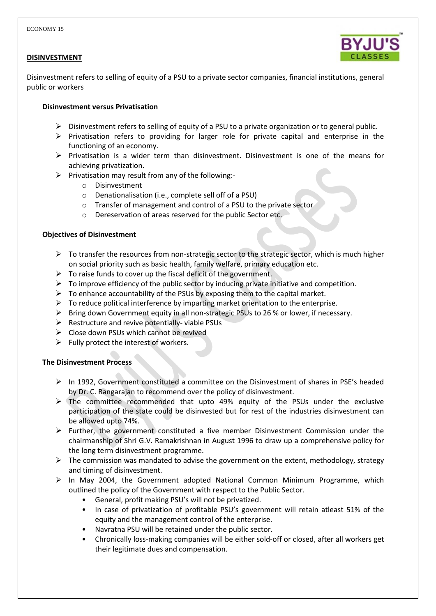### **DISINVESTMENT**



Disinvestment refers to selling of equity of a PSU to a private sector companies, financial institutions, general public or workers

#### **Disinvestment versus Privatisation**

- $\triangleright$  Disinvestment refers to selling of equity of a PSU to a private organization or to general public.
- $\triangleright$  Privatisation refers to providing for larger role for private capital and enterprise in the functioning of an economy.
- $\triangleright$  Privatisation is a wider term than disinvestment. Disinvestment is one of the means for achieving privatization.
- $\triangleright$  Privatisation may result from any of the following:
	- o Disinvestment
	- o Denationalisation (i.e., complete sell off of a PSU)
	- o Transfer of management and control of a PSU to the private sector
	- o Dereservation of areas reserved for the public Sector etc.

### **Objectives of Disinvestment**

- $\triangleright$  To transfer the resources from non-strategic sector to the strategic sector, which is much higher on social priority such as basic health, family welfare, primary education etc.
- $\triangleright$  To raise funds to cover up the fiscal deficit of the government.
- $\triangleright$  To improve efficiency of the public sector by inducing private initiative and competition.
- $\triangleright$  To enhance accountability of the PSUs by exposing them to the capital market.
- $\triangleright$  To reduce political interference by imparting market orientation to the enterprise.
- $\triangleright$  Bring down Government equity in all non-strategic PSUs to 26 % or lower, if necessary.
- $\triangleright$  Restructure and revive potentially-viable PSUs
- $\triangleright$  Close down PSUs which cannot be revived
- $\triangleright$  Fully protect the interest of workers.

### **The Disinvestment Process**

- $\triangleright$  In 1992, Government constituted a committee on the Disinvestment of shares in PSE's headed by Dr. C. Rangarajan to recommend over the policy of disinvestment.
- $\triangleright$  The committee recommended that upto 49% equity of the PSUs under the exclusive participation of the state could be disinvested but for rest of the industries disinvestment can be allowed upto 74%.
- $\triangleright$  Further, the government constituted a five member Disinvestment Commission under the chairmanship of Shri G.V. Ramakrishnan in August 1996 to draw up a comprehensive policy for the long term disinvestment programme.
- $\triangleright$  The commission was mandated to advise the government on the extent, methodology, strategy and timing of disinvestment.
- $\triangleright$  In May 2004, the Government adopted National Common Minimum Programme, which outlined the policy of the Government with respect to the Public Sector.
	- General, profit making PSU's will not be privatized.
	- In case of privatization of profitable PSU's government will retain atleast 51% of the equity and the management control of the enterprise.
	- Navratna PSU will be retained under the public sector.
	- Chronically loss-making companies will be either sold-off or closed, after all workers get their legitimate dues and compensation.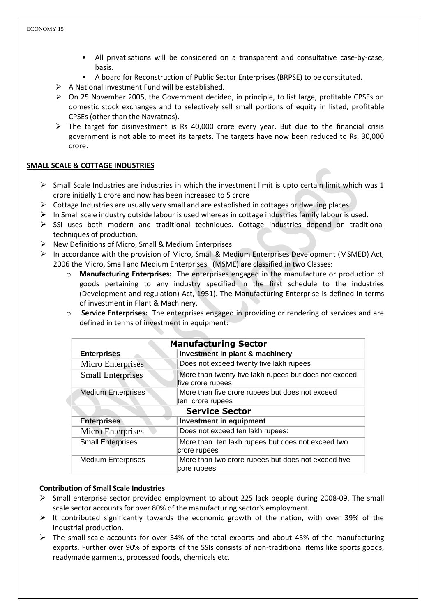- All privatisations will be considered on a transparent and consultative case-by-case, basis.
- A board for Reconstruction of Public Sector Enterprises (BRPSE) to be constituted.
- $\triangleright$  A National Investment Fund will be established.
- $\triangleright$  On 25 November 2005, the Government decided, in principle, to list large, profitable CPSEs on domestic stock exchanges and to selectively sell small portions of equity in listed, profitable CPSEs (other than the Navratnas).
- $\triangleright$  The target for disinvestment is Rs 40,000 crore every year. But due to the financial crisis government is not able to meet its targets. The targets have now been reduced to Rs. 30,000 crore.

# **SMALL SCALE & COTTAGE INDUSTRIES**

- $\triangleright$  Small Scale Industries are industries in which the investment limit is upto certain limit which was 1 crore initially 1 crore and now has been increased to 5 crore
- $\triangleright$  Cottage Industries are usually very small and are established in cottages or dwelling places.
- $\triangleright$  In Small scale industry outside labour is used whereas in cottage industries family labour is used.
- $\triangleright$  SSI uses both modern and traditional techniques. Cottage industries depend on traditional techniques of production.
- $\triangleright$  New Definitions of Micro, Small & Medium Enterprises
- $\triangleright$  In accordance with the provision of Micro, Small & Medium Enterprises Development (MSMED) Act, 2006 the Micro, Small and Medium Enterprises (MSME) are classified in two Classes:
	- o **Manufacturing Enterprises:** The enterprises engaged in the manufacture or production of goods pertaining to any industry specified in the first schedule to the industries (Development and regulation) Act, 1951). The Manufacturing Enterprise is defined in terms of investment in Plant & Machinery.
	- o **Service Enterprises:** The enterprises engaged in providing or rendering of services and are defined in terms of investment in equipment:

| <b>Manufacturing Sector</b> |                                                                            |
|-----------------------------|----------------------------------------------------------------------------|
| <b>Enterprises</b>          | Investment in plant & machinery                                            |
| Micro Enterprises           | Does not exceed twenty five lakh rupees                                    |
| <b>Small Enterprises</b>    | More than twenty five lakh rupees but does not exceed<br>five crore rupees |
| <b>Medium Enterprises</b>   | More than five crore rupees but does not exceed                            |
|                             | ten crore rupees                                                           |
| <b>Service Sector</b>       |                                                                            |
| <b>Enterprises</b>          | <b>Investment in equipment</b>                                             |
| <b>Micro Enterprises</b>    | Does not exceed ten lakh rupees:                                           |
| <b>Small Enterprises</b>    | More than ten lakh rupees but does not exceed two<br>crore rupees          |
| <b>Medium Enterprises</b>   | More than two crore rupees but does not exceed five<br>core rupees         |

### **Contribution of Small Scale Industries**

- $\triangleright$  Small enterprise sector provided employment to about 225 lack people during 2008-09. The small scale sector accounts for over 80% of the manufacturing sector's employment.
- $\triangleright$  It contributed significantly towards the economic growth of the nation, with over 39% of the industrial production.
- $\triangleright$  The small-scale accounts for over 34% of the total exports and about 45% of the manufacturing exports. Further over 90% of exports of the SSIs consists of non-traditional items like sports goods, readymade garments, processed foods, chemicals etc.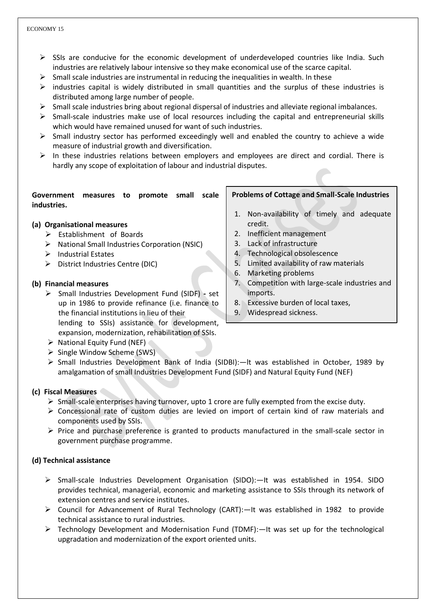#### ECONOMY 15

- $\triangleright$  SSIs are conducive for the economic development of underdeveloped countries like India. Such industries are relatively labour intensive so they make economical use of the scarce capital.
- $\triangleright$  Small scale industries are instrumental in reducing the inequalities in wealth. In these
- $\triangleright$  industries capital is widely distributed in small quantities and the surplus of these industries is distributed among large number of people.
- $\triangleright$  Small scale industries bring about regional dispersal of industries and alleviate regional imbalances.
- $\triangleright$  Small-scale industries make use of local resources including the capital and entrepreneurial skills which would have remained unused for want of such industries.
- $\triangleright$  Small industry sector has performed exceedingly well and enabled the country to achieve a wide measure of industrial growth and diversification.
- $\triangleright$  In these industries relations between employers and employees are direct and cordial. There is hardly any scope of exploitation of labour and industrial disputes.

#### **Government measures to promote small scale industries.**

### **(a) Organisational measures**

- $\triangleright$  Establishment of Boards
- $\triangleright$  National Small Industries Corporation (NSIC)
- $\triangleright$  Industrial Estates
- District Industries Centre (DIC)

### **(b) Financial measures**

- Small Industries Development Fund (SIDF) **-** set up in 1986 to provide refinance (i.e. finance to the financial institutions in lieu of their lending to SSIs) assistance for development, expansion, modernization, rehabilitation of SSIs.
- $\triangleright$  National Equity Fund (NEF)
- $\triangleright$  Single Window Scheme (SWS)

# $\triangleright$  Small Industries Development Bank of India (SIDBI): - It was established in October, 1989 by amalgamation of small Industries Development Fund (SIDF) and Natural Equity Fund (NEF)

### **(c) Fiscal Measures**

- $\triangleright$  Small-scale enterprises having turnover, upto 1 crore are fully exempted from the excise duty.
- Concessional rate of custom duties are levied on import of certain kind of raw materials and components used by SSIs.
- $\triangleright$  Price and purchase preference is granted to products manufactured in the small-scale sector in government purchase programme.

# **(d) Technical assistance**

- $\triangleright$  Small-scale Industries Development Organisation (SIDO):—It was established in 1954. SIDO provides technical, managerial, economic and marketing assistance to SSIs through its network of extension centres and service institutes.
- $\triangleright$  Council for Advancement of Rural Technology (CART):  $-$ It was established in 1982 to provide technical assistance to rural industries.
- $\triangleright$  Technology Development and Modernisation Fund (TDMF): It was set up for the technological upgradation and modernization of the export oriented units.

### **Problems of Cottage and Small-Scale Industries**

- 1. Non-availability of timely and adequate credit.
- 2. Inefficient management
- 3. Lack of infrastructure
- 4. Technological obsolescence
- 5. Limited availability of raw materials
- 6. Marketing problems
- 7. Competition with large-scale industries and imports.
- 8. Excessive burden of local taxes,
- 9. Widespread sickness.